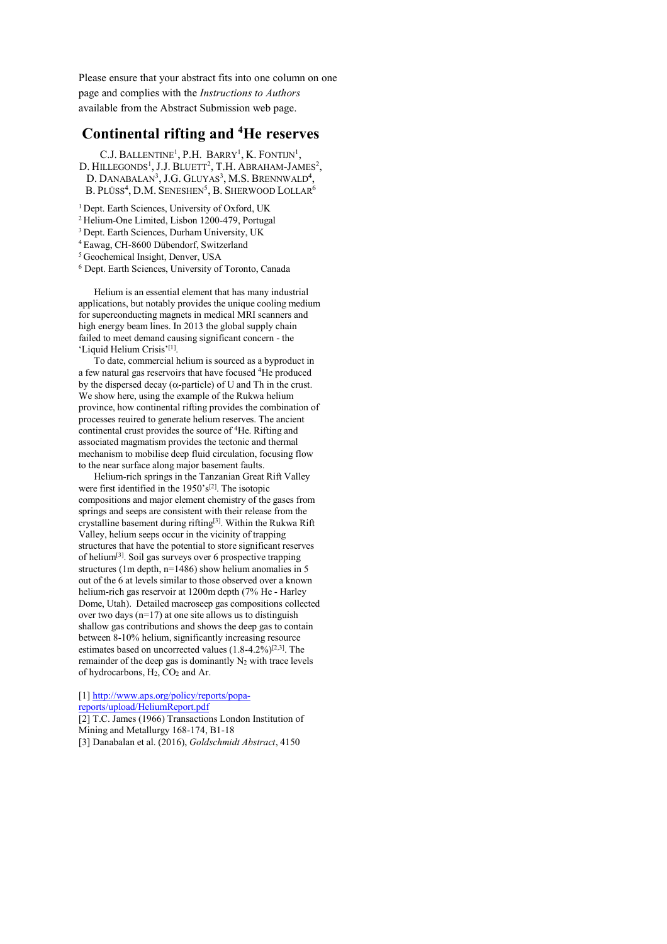Please ensure that your abstract fits into one column on one page and complies with the *Instructions to Authors*  available from the Abstract Submission web page.

## **Continental rifting and 4 He reserves**

C.J. BALLENTINE<sup>1</sup>, P.H. BARRY<sup>1</sup>, K. FONTIJN<sup>1</sup>, D. HILLEGONDS<sup>1</sup>, J.J. BLUETT<sup>2</sup>, T.H. ABRAHAM-JAMES<sup>2</sup>, D. DANABALAN<sup>3</sup>, J.G. GLUYAS<sup>3</sup>, M.S. BRENNWALD<sup>4</sup>, B. Plüss<sup>4</sup>, D.M. Seneshen<sup>5</sup>, B. Sherwood Lollar<sup>6</sup>

<sup>1</sup> Dept. Earth Sciences, University of Oxford, UK

2 Helium-One Limited, Lisbon 1200-479, Portugal

3 Dept. Earth Sciences, Durham University, UK

4 Eawag, CH-8600 Dübendorf, Switzerland

5 Geochemical Insight, Denver, USA

6 Dept. Earth Sciences, University of Toronto, Canada

Helium is an essential element that has many industrial applications, but notably provides the unique cooling medium for superconducting magnets in medical MRI scanners and high energy beam lines. In 2013 the global supply chain failed to meet demand causing significant concern - the 'Liquid Helium Crisis'[1].

To date, commercial helium is sourced as a byproduct in a few natural gas reservoirs that have focused 4He produced by the dispersed decay ( $\alpha$ -particle) of U and Th in the crust. We show here, using the example of the Rukwa helium province, how continental rifting provides the combination of processes reuired to generate helium reserves. The ancient continental crust provides the source of 4He. Rifting and associated magmatism provides the tectonic and thermal mechanism to mobilise deep fluid circulation, focusing flow to the near surface along major basement faults.

Helium-rich springs in the Tanzanian Great Rift Valley were first identified in the  $1950's^{[2]}$ . The isotopic compositions and major element chemistry of the gases from springs and seeps are consistent with their release from the crystalline basement during rifting[3]. Within the Rukwa Rift Valley, helium seeps occur in the vicinity of trapping structures that have the potential to store significant reserves of helium[3]. Soil gas surveys over 6 prospective trapping structures (1m depth, n=1486) show helium anomalies in 5 out of the 6 at levels similar to those observed over a known helium-rich gas reservoir at 1200m depth (7% He - Harley Dome, Utah). Detailed macroseep gas compositions collected over two days  $(n=17)$  at one site allows us to distinguish shallow gas contributions and shows the deep gas to contain between 8-10% helium, significantly increasing resource estimates based on uncorrected values (1.8-4.2%)[2,3]. The remainder of the deep gas is dominantly  $N_2$  with trace levels of hydrocarbons, H2, CO2 and Ar.

[1] http://www.aps.org/policy/reports/popa-

reports/upload/HeliumReport.pdf

[2] T.C. James (1966) Transactions London Institution of Mining and Metallurgy 168-174, B1-18 [3] Danabalan et al. (2016), *Goldschmidt Abstract*, 4150